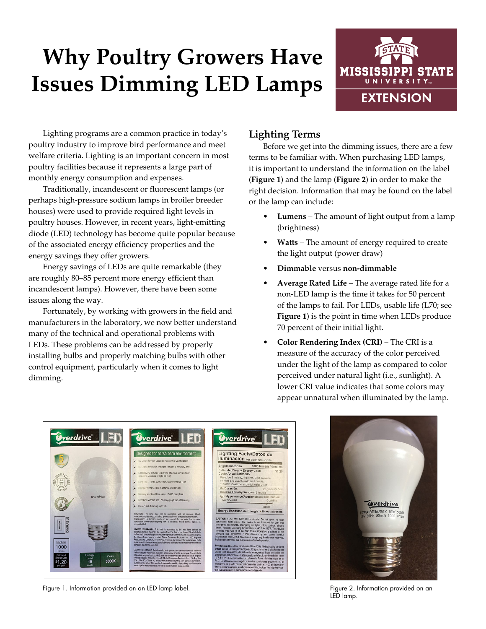# **Why Poultry Growers Have Issues Dimming LED Lamps**



Lighting programs are a common practice in today's poultry industry to improve bird performance and meet welfare criteria. Lighting is an important concern in most poultry facilities because it represents a large part of monthly energy consumption and expenses.

Traditionally, incandescent or fluorescent lamps (or perhaps high-pressure sodium lamps in broiler breeder houses) were used to provide required light levels in poultry houses. However, in recent years, light-emitting diode (LED) technology has become quite popular because of the associated energy efficiency properties and the energy savings they offer growers.

Energy savings of LEDs are quite remarkable (they are roughly 80–85 percent more energy efficient than incandescent lamps). However, there have been some issues along the way.

Fortunately, by working with growers in the field and manufacturers in the laboratory, we now better understand many of the technical and operational problems with LEDs. These problems can be addressed by properly installing bulbs and properly matching bulbs with other control equipment, particularly when it comes to light dimming.

# **Lighting Terms**

Before we get into the dimming issues, there are a few terms to be familiar with. When purchasing LED lamps, it is important to understand the information on the label (**Figure 1**) and the lamp (**Figure 2**) in order to make the right decision. Information that may be found on the label or the lamp can include:

- **• Lumens** The amount of light output from a lamp (brightness)
- **• Watts** The amount of energy required to create the light output (power draw)
- **• Dimmable** versus **non-dimmable**
- **• Average Rated Life** The average rated life for a non-LED lamp is the time it takes for 50 percent of the lamps to fail. For LEDs, usable life (L70; see **Figure 1**) is the point in time when LEDs produce 70 percent of their initial light.
- **• Color Rendering Index (CRI)** The CRI is a measure of the accuracy of the color perceived under the light of the lamp as compared to color perceived under natural light (i.e., sunlight). A lower CRI value indicates that some colors may appear unnatural when illuminated by the lamp.



Figure 1. Information provided on an LED lamp label. The state of the state of the state of the Figure 2. Information provided on an LED lamp label.



LED lamp.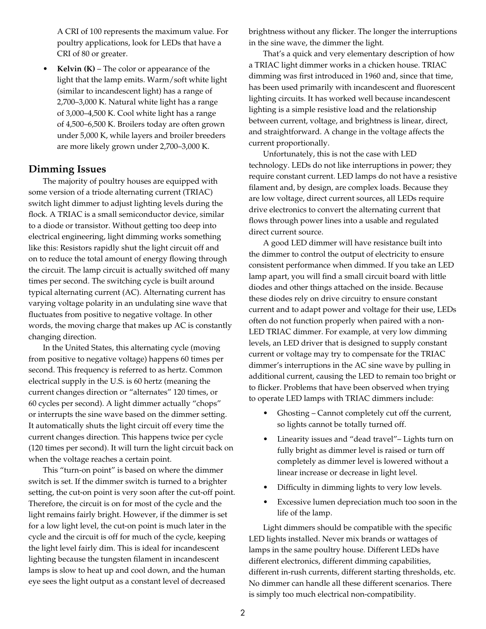A CRI of 100 represents the maximum value. For poultry applications, look for LEDs that have a CRI of 80 or greater.

**• Kelvin (K)** – The color or appearance of the light that the lamp emits. Warm/soft white light (similar to incandescent light) has a range of 2,700–3,000 K. Natural white light has a range of 3,000–4,500 K. Cool white light has a range of 4,500–6,500 K. Broilers today are often grown under 5,000 K, while layers and broiler breeders are more likely grown under 2,700–3,000 K.

### **Dimming Issues**

The majority of poultry houses are equipped with some version of a triode alternating current (TRIAC) switch light dimmer to adjust lighting levels during the flock. A TRIAC is a small semiconductor device, similar to a diode or transistor. Without getting too deep into electrical engineering, light dimming works something like this: Resistors rapidly shut the light circuit off and on to reduce the total amount of energy flowing through the circuit. The lamp circuit is actually switched off many times per second. The switching cycle is built around typical alternating current (AC). Alternating current has varying voltage polarity in an undulating sine wave that fluctuates from positive to negative voltage. In other words, the moving charge that makes up AC is constantly changing direction.

In the United States, this alternating cycle (moving from positive to negative voltage) happens 60 times per second. This frequency is referred to as hertz. Common electrical supply in the U.S. is 60 hertz (meaning the current changes direction or "alternates" 120 times, or 60 cycles per second). A light dimmer actually "chops" or interrupts the sine wave based on the dimmer setting. It automatically shuts the light circuit off every time the current changes direction. This happens twice per cycle (120 times per second). It will turn the light circuit back on when the voltage reaches a certain point.

This "turn-on point" is based on where the dimmer switch is set. If the dimmer switch is turned to a brighter setting, the cut-on point is very soon after the cut-off point. Therefore, the circuit is on for most of the cycle and the light remains fairly bright. However, if the dimmer is set for a low light level, the cut-on point is much later in the cycle and the circuit is off for much of the cycle, keeping the light level fairly dim. This is ideal for incandescent lighting because the tungsten filament in incandescent lamps is slow to heat up and cool down, and the human eye sees the light output as a constant level of decreased

brightness without any flicker. The longer the interruptions in the sine wave, the dimmer the light.

That's a quick and very elementary description of how a TRIAC light dimmer works in a chicken house. TRIAC dimming was first introduced in 1960 and, since that time, has been used primarily with incandescent and fluorescent lighting circuits. It has worked well because incandescent lighting is a simple resistive load and the relationship between current, voltage, and brightness is linear, direct, and straightforward. A change in the voltage affects the current proportionally.

Unfortunately, this is not the case with LED technology. LEDs do not like interruptions in power; they require constant current. LED lamps do not have a resistive filament and, by design, are complex loads. Because they are low voltage, direct current sources, all LEDs require drive electronics to convert the alternating current that flows through power lines into a usable and regulated direct current source.

A good LED dimmer will have resistance built into the dimmer to control the output of electricity to ensure consistent performance when dimmed. If you take an LED lamp apart, you will find a small circuit board with little diodes and other things attached on the inside. Because these diodes rely on drive circuitry to ensure constant current and to adapt power and voltage for their use, LEDs often do not function properly when paired with a non-LED TRIAC dimmer. For example, at very low dimming levels, an LED driver that is designed to supply constant current or voltage may try to compensate for the TRIAC dimmer's interruptions in the AC sine wave by pulling in additional current, causing the LED to remain too bright or to flicker. Problems that have been observed when trying to operate LED lamps with TRIAC dimmers include:

- Ghosting Cannot completely cut off the current, so lights cannot be totally turned off.
- Linearity issues and "dead travel"– Lights turn on fully bright as dimmer level is raised or turn off completely as dimmer level is lowered without a linear increase or decrease in light level.
- Difficulty in dimming lights to very low levels.
- Excessive lumen depreciation much too soon in the life of the lamp.

Light dimmers should be compatible with the specific LED lights installed. Never mix brands or wattages of lamps in the same poultry house. Different LEDs have different electronics, different dimming capabilities, different in-rush currents, different starting thresholds, etc. No dimmer can handle all these different scenarios. There is simply too much electrical non-compatibility.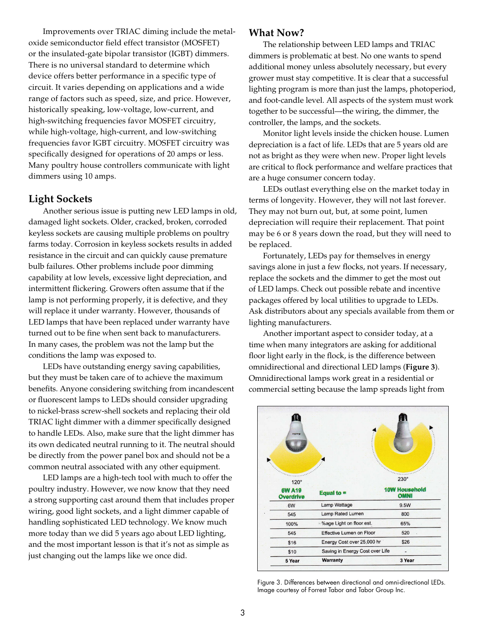Improvements over TRIAC diming include the metaloxide semiconductor field effect transistor (MOSFET) or the insulated-gate bipolar transistor (IGBT) dimmers. There is no universal standard to determine which device offers better performance in a specific type of circuit. It varies depending on applications and a wide range of factors such as speed, size, and price. However, historically speaking, low-voltage, low-current, and high-switching frequencies favor MOSFET circuitry, while high-voltage, high-current, and low-switching frequencies favor IGBT circuitry. MOSFET circuitry was specifically designed for operations of 20 amps or less. Many poultry house controllers communicate with light dimmers using 10 amps.

## **Light Sockets**

Another serious issue is putting new LED lamps in old, damaged light sockets. Older, cracked, broken, corroded keyless sockets are causing multiple problems on poultry farms today. Corrosion in keyless sockets results in added resistance in the circuit and can quickly cause premature bulb failures. Other problems include poor dimming capability at low levels, excessive light depreciation, and intermittent flickering. Growers often assume that if the lamp is not performing properly, it is defective, and they will replace it under warranty. However, thousands of LED lamps that have been replaced under warranty have turned out to be fine when sent back to manufacturers. In many cases, the problem was not the lamp but the conditions the lamp was exposed to.

LEDs have outstanding energy saving capabilities, but they must be taken care of to achieve the maximum benefits. Anyone considering switching from incandescent or fluorescent lamps to LEDs should consider upgrading to nickel-brass screw-shell sockets and replacing their old TRIAC light dimmer with a dimmer specifically designed to handle LEDs. Also, make sure that the light dimmer has its own dedicated neutral running to it. The neutral should be directly from the power panel box and should not be a common neutral associated with any other equipment.

LED lamps are a high-tech tool with much to offer the poultry industry. However, we now know that they need a strong supporting cast around them that includes proper wiring, good light sockets, and a light dimmer capable of handling sophisticated LED technology. We know much more today than we did 5 years ago about LED lighting, and the most important lesson is that it's not as simple as just changing out the lamps like we once did.

#### **What Now?**

The relationship between LED lamps and TRIAC dimmers is problematic at best. No one wants to spend additional money unless absolutely necessary, but every grower must stay competitive. It is clear that a successful lighting program is more than just the lamps, photoperiod, and foot-candle level. All aspects of the system must work together to be successful—the wiring, the dimmer, the controller, the lamps, and the sockets.

Monitor light levels inside the chicken house. Lumen depreciation is a fact of life. LEDs that are 5 years old are not as bright as they were when new. Proper light levels are critical to flock performance and welfare practices that are a huge consumer concern today.

LEDs outlast everything else on the market today in terms of longevity. However, they will not last forever. They may not burn out, but, at some point, lumen depreciation will require their replacement. That point may be 6 or 8 years down the road, but they will need to be replaced.

Fortunately, LEDs pay for themselves in energy savings alone in just a few flocks, not years. If necessary, replace the sockets and the dimmer to get the most out of LED lamps. Check out possible rebate and incentive packages offered by local utilities to upgrade to LEDs. Ask distributors about any specials available from them or lighting manufacturers.

Another important aspect to consider today, at a time when many integrators are asking for additional floor light early in the flock, is the difference between omnidirectional and directional LED lamps (**Figure 3**). Omnidirectional lamps work great in a residential or commercial setting because the lamp spreads light from

|                                   | E                               |                                     |
|-----------------------------------|---------------------------------|-------------------------------------|
| $120^\circ$                       |                                 | $230^\circ$                         |
| <b>6W A19</b><br><b>Overdrive</b> | Equal to $=$                    | <b>10W Household</b><br><b>OMNI</b> |
| 6W                                | Lamp Wattage                    | 9.5W                                |
| 545                               | Lamp Rated Lumen                | 800                                 |
| 100%                              | %age Light on floor est.        | 65%                                 |
| 545                               | <b>Effective Lumen on Floor</b> | 520                                 |
| \$16                              | Energy Cost over 25,000 hr      | \$26                                |
|                                   | Saving in Energy Cost over Life |                                     |
| \$10                              |                                 |                                     |

Figure 3. Differences between directional and omni-directional LEDs. Image courtesy of Forrest Tabor and Tabor Group Inc.